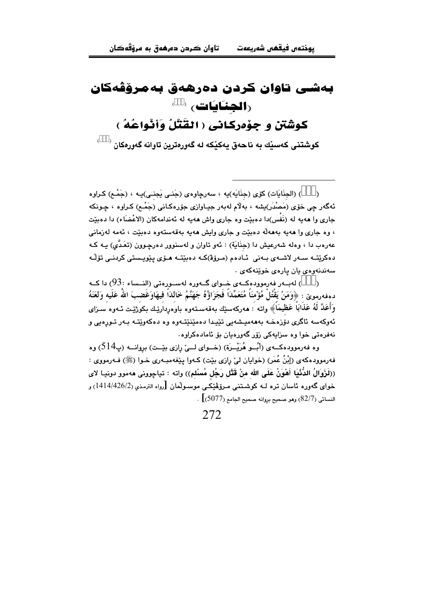## بەشى تاوان كردن دەرھەق بەمرۆڧەكان (**الجنائات**) ( )

كوشْتَن و جِوْدرِكاني ( القَتْلُ وَأَنْواعُهُ )

کوشتنی کەسٽك بە ناجەق بەكٽكە لە گەورەترىن تاوانە گەورەكان <sup>(</sup>

) (الجنَّايَات) كَوْي (جنَّايَه)يه ، سەرچاوەي (جَنبي يَجنبي)يـه ، (جَمْـم) كـراوه  $\lambda$ ئەگەر چى خۆي (مَصْدَر)بِشە ، بەلام لەبەر جيـاوازى جۆرەكـانى (جَمْـع) كـراوە ، چـونكە جاری وا ههیه له (نَفْس)دا دهبیّت وه جاری واش ههیه له ئهندامهکان (الاعْضَاء) دا دهبیّت ، وه جاري وا ههيه بهههله دهبێت و جاري وايش ههيه بهقهستهوه دهبێت ، ئهمه لهزماني عەرەب دا ، وەلە شەرعيش دا (جِنَايَة) : ئەو تاوان و لەسنوور دەرچـوون (تعَـدَّى) پـە كـە دەكريتــه ســەر لاشــەي بــەنى ئــادەم (مـرۆۋ)كــه دەبيّتــه مـۆي يـێويـستى كردنــى تۆڵـه سەندنەوەي يان يارەي خوينەكەي .

) لەبەر فەرموودەكــەي خــواي گــەورە لەســورەتى (النــساء :93) دا كــە  $\lambda$ دهفهرمويِّ : ﴿وَمَنْ يَقْتُلْ مُؤْمِنَاً مُتَعَمِّدَاً فَجَزَاوُهُ جَهَنَّمُ خَالدَاً فِيهَاوَغَضبَ اللَّهُ عَلَيه وَلَعَنَهُ وَأَعَلَّا لَهُ عَذَابَاً عَظِيمَاً﴾ وإنه : هەركەستك بەقەسىتەوە باوەردارتىك بكوژتىت ئىەوە سىزاي ئەوكەسە ئاگرى دۆزەخـە يەھەميشەيى تێيدا دەمێنێتەوە وە دەكەوێتـە يـەر تـورەبى و ۔<br>تەفرەتى خولوھ سزابەكى زۆر گەورەبان بۆ ئامادەكراوھ

وه فەرموودەكــەي (أَبُــو هُرَيْــرَة) (خــواي لــيّ رازي بِيّــت) بروانــه (پ514) وه فهرموودهکهي (إِبْنُ عُمَرٍ) (خوايان ليّ رازي بيّت) کـهوا پيّغهمبـهري خـوا (ﷺ) فـهرمووي : ((لَزَوَالُ الدُّنْيَا أَهْوَنُ عَلَى الله منْ قَتْل رَجُلٍ مُسْلم)) واته : تياجووني ههموو دونيـا لاي خواي گەورە ئاسان ترە لــه كوشــتني مـرۆڨێكــي موسـولْمان [رواه الترمـذي (2/426/2)1414) و  $\sim [6077)$  النسائي (82/7) وهو صحيح بروانه صحيح الجامع (5077).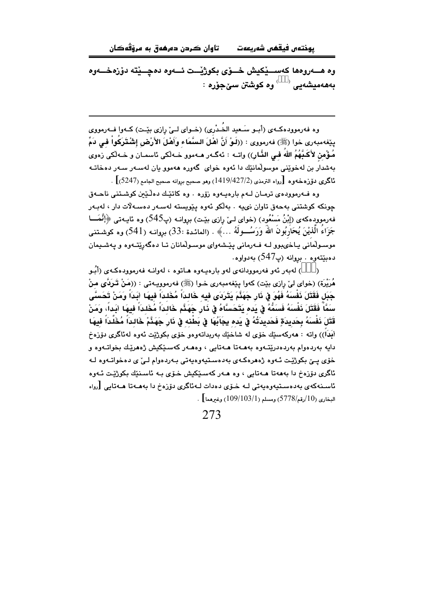تاوان ڪردن دەرھەق بە مرۆڤەڪان يوختەں فيقھى شەريعەت

ىەھەمىشەنى <sup>( )</sup> وە كوشتن سى حۆرە :

وه فهرموودهکـهي (أبـو سَـعيد الخَـدْري) (خـواي لــيّ رازي بيّـت) کـهوا فــهرمووي يـيِّغهمبهري خوا (ﷺ) فهرمووي : ((لَـوْ أَنَّ أَهْلَ الـسَّمَاء وَأَهْلَ الأَرْضِ إشْـتَرَكُواْ فـي دَمّ مُؤْمن لأَكَـبَّهُمُ اللهُ فـى الذَّارِ)) واتـه : ئهگـهر مـهموو خـهلّكى ئاسمـان و خـهلّكى زهوى بهشدار بن لهخوينی موسولمانيّك دا ئەوە خوای گەورە ھەموو بان لەسـەر سـەر دەخاتــە ئاگرى دۆزەخەوە [رواه الترمذي (1427/2/2) وهو صحيح بروانه صحيح الجامع (5247)] .

وه فـهرموودهى ترمـان لـهم بارهيـهوه زۆره . وه كاتێك دهڵێێ كوشـتنى ناحـهق جونکه کوشتنی بهحەق تاوان نىيە . بەلکو ئەوە يێويستە لەسـەر دەسـەلات دار ، لەبـەر فه رموودهکهی (إِبْنُ مَسْعُود) (خوای لـیْ رازی بیْـت) بروانـه (پ545) وه ئاپـهتی ﴿إِنَّمَـــا جَزَاءَ الَّذيْنَ يُحَارِبُونَ اللَّهَ وَرَسُـــولَهُ …﴾ . (المائـدة :33) بروانــه (541) وه كوشـتنـي موسـولْماُنى يـاخىبوو لــه فــهرمانى پێـشهواى موسـولْمانان تــا دەگەرِێتــهوه و پـهشــيمان دەبێتەوە . بروانە (پ547) بەدواوە.

) لەبەر ئەو فەرموودانەي لەو بارەپەوە ھاتوە ، لەوانـە فەرموودەكـەي (أَبُـو هُرَيْرَة) (خواي ليْ رازي بيْت) كەوا يېفەمبەرى خـوا (ﷺ) فەرمووپـەتى : ((مَنْ قَـرَدَّى منْ جَبَل فَقَتَلَ نَفْسَهُ فَهُوَ فِي ذَارٍ جَهَنَّمَ يَتَرَدَى فيه خَالداً مُخَلداً فيهَا أَبَداً وَمَنْ تَحَسَّى سَمَّاً فَقَتَلَ ذَفْسَهُ فَسَمُّهُ في بَده بَتَجَسَّاهُ في ذَارٍ جَهَنَّم خَالِدَاً مُخَلدَاً فِيهَا ائَداً، وَمَنْ قَتَلَ نَفْسَهُ بِحَدِيدَةٍ فَحَدِيدَتُهُ فِى يَده بِجَاَبُهَا فِى بَطْنه فِى نَارٍ جَهَنَّمْ خَالداً مُخَلَّداً فيهَا أَبَدَاً)) واته : ھەركەسێك خۆي لە شاخێك بەربداتەوەو خۆي بكوژێت ئەوە لەئاگرى دۆزەخ .<br>دابه بەردەۋام بەردەدرێتـەۋە بەھـﻪتا ھـﻪتابى ، ۋەھـﻪر كەسـێكىش ژەھرێك بخواتـﻪۋە ۋ .<br>خۆی يــێ بکوژێت ئــهوه ژههرهکـهي بهدهسـتيهوهيهتي بـهردهوام لــێ ي دهخواتـهوه لـه ئاگرى دۆزەخ دا بەھەتا ھـەتابى ، وە ھـەر كەسـێكيش خـۆى بـە ئاسـنێك بكوژێت ئـەوە ئاسىنەكەي بەدەسىتيەوەبەتى لـە خـۆي دەدات لـەئاگرى دۆزەخ دا بەھـەتا ھـەتابى [رواە  $\left[109/103/1\right]$ المخاري (10 $/10$ رقم/778) ومسلم (1 $109/103$ ) وغيرهما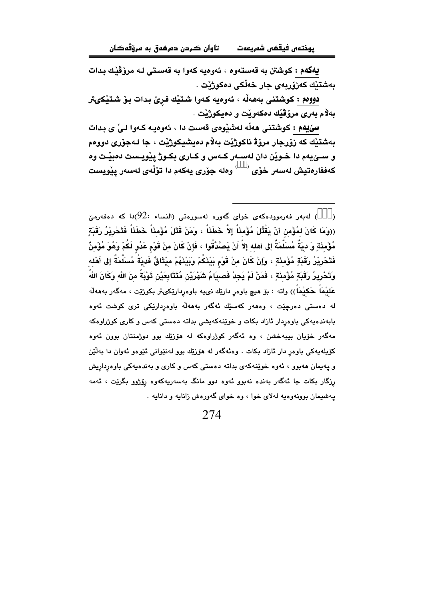يهكهم : كوشتن به قەستەوه ، ئەوەيە كەوا بە قەستى لـه مرۆڤێك بدات بەشتێك كەزۆربەي جار خەلكى دەكوژێت .

دوومم : كوشتنى بەھەڵە ، ئەوەيە كەوا شتێك فرِێ بدات بۆ شتێكىتر بەلام بەرى مرۆڤێك دەكەوپت و دەيكوژێت .

سێیهم : کوشتنی هەڵە لەشێوەی قەست دا ، ئەوەپـه کـەوا لـیْ ی بدات بەشتيك كە زۆرجار مرۆۋ ناكوژيْت بەلام دەيشيكوژيْت ، جا لـەجۆرى دووەم و سـێيهم دا خـوێن دان لهسـهر کـهس و کـاری بکـوژ پێويـست دهبێـت وه كەففارەتيش لەسەر خۆى <sup>‹ 6</sup> وەلە جۆرى يەكەم دا تۆڵەي لەسەر يێويست

<sup>)</sup> لەبەر فەرموودەكەي خواي گەورە لەسورەتى (النساء :92)دا كە دەفەرمىّ (  $\rightarrow$ ((وهَا كَانَ لمُؤْمن أنْ يَقْتُلَ مُؤْمنَاً إلاَّ خَطَئَاً ، وَمَنْ قَتَلَ مُؤْمنَاً خَطَئَاً فَتَحْرِيْرُ رَقَبَةِ مُؤْمِنَةٍ وَ ديَةٌ مُسَلَّمَةٌ إلى أهله إلاَّ أَنْ يَصَّدَّقُوا ، فَإِنْ كَانَ منْ قَوْم عَدُو لَكُمْ وَهُوَ مُؤْمِنٌ فَتَحْرِيْرُ رَقَبَةٍ مُؤْمِنَةٍ ، وَإِنْ كَانَ منْ قَوْمِ بَيْنَكُمْ وَبَيْنَهُمْ مِيْثَاقٌ فَديَةُ مُسَلَّمَةً إلى أَهْله وَتَحْرِيرُ رَقَبَةٍ مُؤْمِنَةٍ ، فَمَنْ لَمْ يَجِدْ فَصبِيَامُ شَهْرَيْنِ مُتَتَابِعَيْنِ تَوْيَةً منَ الله وَكَانَ اللهُ عَلَيْمَاً حَكَيْمَاً)) واته : بۆ ھىچ باوەر دارێك نىيە باوەردارێكىتر بكوژێت ، مەگەر بەھەلّە له دەستى دەرچێت ، وەھەر كەسێك ئەگەر بەھەڵە باوەردارێكى ترى كوشت ئەوە بابهندهیهکی باوهردار ئازاد بکات و خوینهکهیشی بداته دهستی کهس و کاری کوژراوهکه مهگەر خۆيان بيبەخشن ، وه ئەگەر كوژراوەكە لە ھۆزێك بوو دوژمنتان بوون ئەوە کۆيلەيەكى باوەر دار ئازاد بكات . وەئەگەر لە ھۆزىك بوو لەنىپوانى ئېيوەو ئەوان دا بەلتىن و پهپمان ههبوو ، ئەوە خوێنەكەي بداتە دەستى كەس و كارى و بەندەپەكى باوەرداريش رزگار بکات جا ئەگەر بەندە نەبوو ئەوە دوو مانگ بەسەريەكەوە رۆژوو بگرێت ، ئەمە يهشيمان بوونهوهيه لهلاى خوا ، وه خواى گهورهش زانايه و دانايه .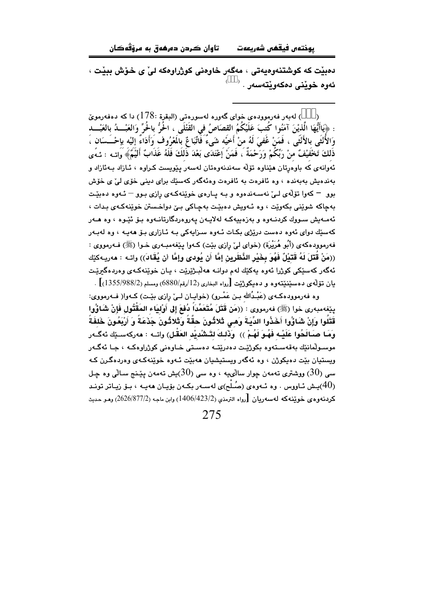تاوان ڪردن دەرھەق بە مرۆقەكان يوختەں فيقھى شەريعەت

دهبيّت که کوشتنهوهيهتي ، مهگهر خاوهني کوژراوهکه ليّ ي خوّش ببيّت ، ئەوە خوٽنى دەكەوٽتەسەر . <sup>(</sup>

) لەبەر فەرموودەي خواي گەورە لەسورەتى (البقرة :178) دا كە دەفەرمويّ : ﴿يَاأَيُّهَا الَّذِيْنَ آمَنُوا كُتبَ عَلَيْكُمُ القصَاصُ في القَتْلَى ، اخُرُّ باخُرٍّ وَالعَبْـــدُ بالعَبْـــد وَالأُنْثَى بِالأَنْثَى ، فَمَنْ غَفىَ لَهُ منْ أَخيْه شَىءٌ فَاتِّبَا عٌ بِالمَعْرُوف وَأَدَاءٌ إليْه بإحْــَـسَان ، ذَلكَ تَخْفَيْفٌ منْ رَبِّكُمْ وَرَحْمَةٌ ، فَمَنْ إعْتَدَى بَعْدَ ذَلَكَ فَلَهُ عَذَابٌ أَليْمَ﴾ وَاتــه : ئـهًى .<br>ئەوانەي كە باوەرتان ھێناوە تۆلە سەندنەوەتان لەسەر يێويست كىراوە ، ئـازاد بـەئازاد و بەندەيش بەبەندە ، وە ئافرەت بە ئافرەت وەئەگەر كەسۆك براي دېنى خۆي لى' ي خۆش بوو – کهوا تۆلەي لـیٰ نەسـەندەوە و بـه يـارەي خوێنەکـهي رازى بـوو – ئـهوە دەبێـت بهجاکه شويٽي بکهويت ، وه ئـهويش دهبيّت بهجـاکي بـيّ دواخـستن خوينهڪهي بـدات ، .<br>ئەمـەيش سـووك كردنــەوە و بەزەييەكــە لەلايــەن يەروەردگارتانــەوە بـۆ ئێـوە ، وە ھــەر .<br>کهسێك دوای ئهوه دهست درێژی بکـات ئـهوه سـزايهکی بـه ئـازاری بـۆ ههيـه ، وه لهبـهر فهرموودهکهی (أَبُو هُرَيْرَة) (خوای ليْ رِازي بێٽ) کـهوا پێغهمبـهري خـوا (ﷺ) فـهرمووي : ((مَنْ قُتَلَ لَهُ قَتَيْلٌ فَهُوَ بِخَيْرِ النَّظَرِينِ إِمَّا أَن يُودى وإِمَّا أَن يُقَادَ)) واتـه : هەريـەكێك ئەگەر كەسٽكى كوژرا ئەوە يەكێك لەم دوانــه ھەلبـژێرێت ، يـان خوێنەكـەي وەردەگىرێـت بان تۆلّەي دەسێنێتەوە و دەبكوژێت [رواە البخارى (12/رقم/6880) ومسلم (2/1355/988)] .

وہ فەرموودەكـەي (عَبْـدُالله بـن عَمْـرو) (خواپـان لـيْ رازى بێـت) كـەوا( فــەرمووى: بِيَّعْهِمِيهِ رِي خَوِلِ (ﷺ) فهرمووي : ((مَنْ قَتَلَ مُتَعَمِّدَاً دُفْعَ إِلَى أَوْلِيَاءِ المَقْتُول فَإِنْ شَيَاؤُوا قَتَلُوا وَإِنْ شَاؤُوا أَخَذُوا الدِّيَةَ وَهي ثَلاثُونَ حقَّةً وَثَلاثُونَ جَذَعَةً وَ أَرْبَعُونَ خَلفَةً وَمَا صَبَالَحُوا عَلَيْه فَهُوَ لَهُمْ )) ۚ وَذَٰلِكَ لتَنشَّدِيْد العَقْل) واتبه : مەركەسـێك ئەگـَەر موسـولْمانٽك بەقەسـتەوە بكوژێـت دەدرێتــه دەسـتى خـاوەنى كوژراوەكــه ، جـا ئەگــەر ويستيان بێت دهيکوژن ، وه ئهگەر ويستيشيان هەبێت ئـهوه خوێنەکـهى وەردەگـرن کـه سي (30) ووشتري تهمهن جوار سالويه ، وه سي (30)پش تهمهن بيٽنج سـالي وه جـل  $\,$ .<br>(40)بــش ئـاووس ، وه ئـهوهي (ميلُــه)ي لهسـهر بكـهن بۆيــان ههبـه ، بـۆ زيـاتر تونـد كردنەوەي خويندەكە لەسەريان [رواه الترمذي (2/1406/423) وابن ماجە (2/026/877/2) ومو حديث